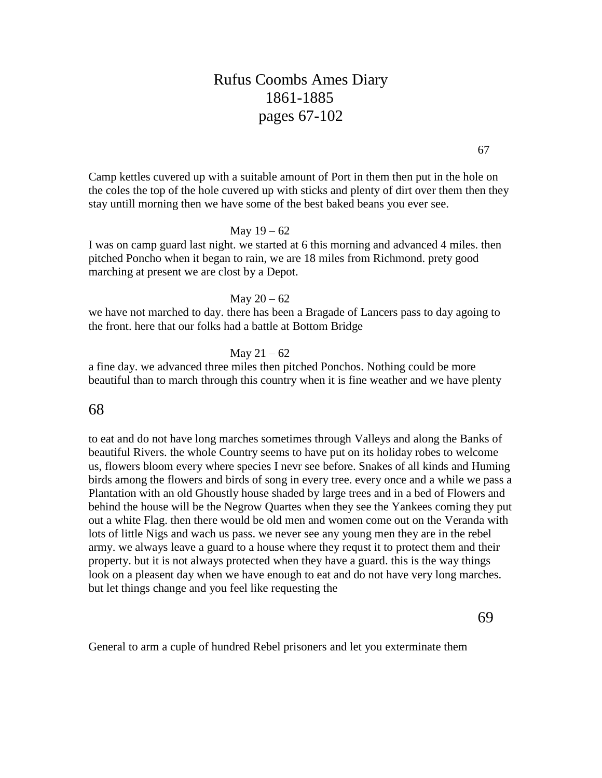# Rufus Coombs Ames Diary 1861-1885 pages 67-102

Camp kettles cuvered up with a suitable amount of Port in them then put in the hole on the coles the top of the hole cuvered up with sticks and plenty of dirt over them then they stay untill morning then we have some of the best baked beans you ever see.

#### May  $19 - 62$

I was on camp guard last night. we started at 6 this morning and advanced 4 miles. then pitched Poncho when it began to rain, we are 18 miles from Richmond. prety good marching at present we are clost by a Depot.

#### May  $20 - 62$

we have not marched to day. there has been a Bragade of Lancers pass to day agoing to the front. here that our folks had a battle at Bottom Bridge

#### May  $21 - 62$

a fine day. we advanced three miles then pitched Ponchos. Nothing could be more beautiful than to march through this country when it is fine weather and we have plenty

# 68

to eat and do not have long marches sometimes through Valleys and along the Banks of beautiful Rivers. the whole Country seems to have put on its holiday robes to welcome us, flowers bloom every where species I nevr see before. Snakes of all kinds and Huming birds among the flowers and birds of song in every tree. every once and a while we pass a Plantation with an old Ghoustly house shaded by large trees and in a bed of Flowers and behind the house will be the Negrow Quartes when they see the Yankees coming they put out a white Flag. then there would be old men and women come out on the Veranda with lots of little Nigs and wach us pass. we never see any young men they are in the rebel army. we always leave a guard to a house where they requst it to protect them and their property. but it is not always protected when they have a guard. this is the way things look on a pleasent day when we have enough to eat and do not have very long marches. but let things change and you feel like requesting the

69

General to arm a cuple of hundred Rebel prisoners and let you exterminate them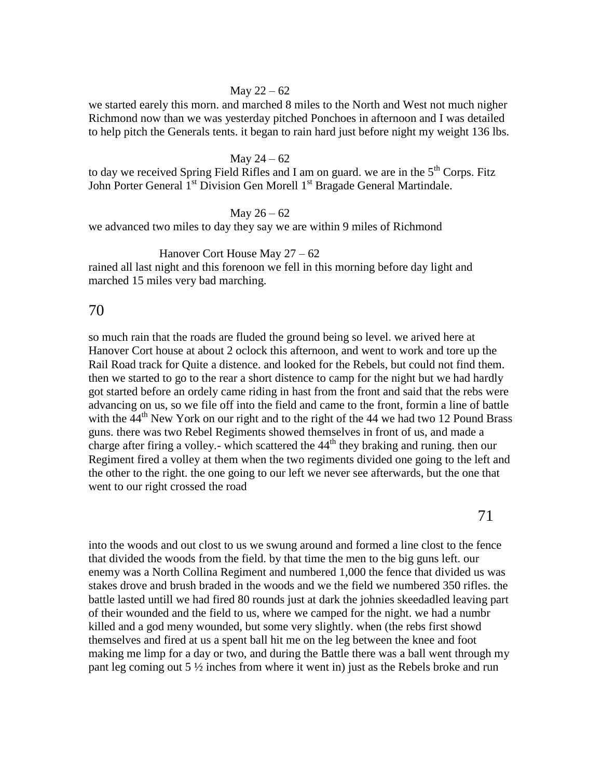#### May  $22 - 62$

we started earely this morn. and marched 8 miles to the North and West not much nigher Richmond now than we was yesterday pitched Ponchoes in afternoon and I was detailed to help pitch the Generals tents. it began to rain hard just before night my weight 136 lbs.

#### May  $24 - 62$

to day we received Spring Field Rifles and I am on guard. we are in the  $5<sup>th</sup>$  Corps. Fitz John Porter General 1<sup>st</sup> Division Gen Morell 1<sup>st</sup> Bragade General Martindale.

### May  $26 - 62$

we advanced two miles to day they say we are within 9 miles of Richmond

### Hanover Cort House May 27 – 62

rained all last night and this forenoon we fell in this morning before day light and marched 15 miles very bad marching.

# 70

so much rain that the roads are fluded the ground being so level. we arived here at Hanover Cort house at about 2 oclock this afternoon, and went to work and tore up the Rail Road track for Quite a distence. and looked for the Rebels, but could not find them. then we started to go to the rear a short distence to camp for the night but we had hardly got started before an ordely came riding in hast from the front and said that the rebs were advancing on us, so we file off into the field and came to the front, formin a line of battle with the  $44<sup>th</sup>$  New York on our right and to the right of the 44 we had two 12 Pound Brass guns. there was two Rebel Regiments showed themselves in front of us, and made a charge after firing a volley.- which scattered the  $44<sup>th</sup>$  they braking and runing. then our Regiment fired a volley at them when the two regiments divided one going to the left and the other to the right. the one going to our left we never see afterwards, but the one that went to our right crossed the road

71

into the woods and out clost to us we swung around and formed a line clost to the fence that divided the woods from the field. by that time the men to the big guns left. our enemy was a North Collina Regiment and numbered 1,000 the fence that divided us was stakes drove and brush braded in the woods and we the field we numbered 350 rifles. the battle lasted untill we had fired 80 rounds just at dark the johnies skeedadled leaving part of their wounded and the field to us, where we camped for the night. we had a numbr killed and a god meny wounded, but some very slightly. when (the rebs first showd themselves and fired at us a spent ball hit me on the leg between the knee and foot making me limp for a day or two, and during the Battle there was a ball went through my pant leg coming out  $5\frac{1}{2}$  inches from where it went in) just as the Rebels broke and run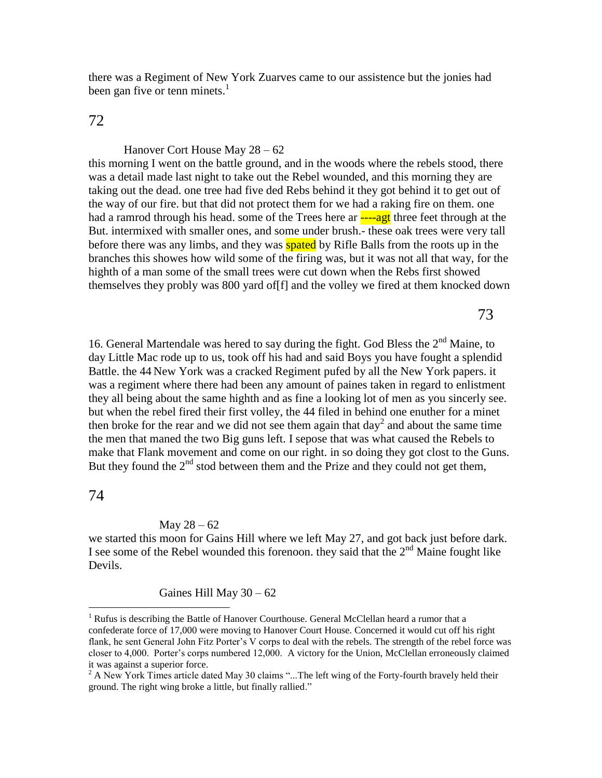there was a Regiment of New York Zuarves came to our assistence but the jonies had been gan five or tenn minets. $<sup>1</sup>$ </sup>

# 72

Hanover Cort House May 28 – 62 this morning I went on the battle ground, and in the woods where the rebels stood, there was a detail made last night to take out the Rebel wounded, and this morning they are taking out the dead. one tree had five ded Rebs behind it they got behind it to get out of the way of our fire. but that did not protect them for we had a raking fire on them. one had a ramrod through his head. some of the Trees here ar  $\frac{1}{2}$ ---agt three feet through at the But. intermixed with smaller ones, and some under brush.- these oak trees were very tall before there was any limbs, and they was **spated** by Rifle Balls from the roots up in the branches this showes how wild some of the firing was, but it was not all that way, for the highth of a man some of the small trees were cut down when the Rebs first showed themselves they probly was 800 yard of[f] and the volley we fired at them knocked down

73

16. General Martendale was hered to say during the fight. God Bless the 2<sup>nd</sup> Maine, to day Little Mac rode up to us, took off his had and said Boys you have fought a splendid Battle. the 44 New York was a cracked Regiment pufed by all the New York papers. it was a regiment where there had been any amount of paines taken in regard to enlistment they all being about the same highth and as fine a looking lot of men as you sincerly see. but when the rebel fired their first volley, the 44 filed in behind one enuther for a minet then broke for the rear and we did not see them again that  $day^2$  and about the same time the men that maned the two Big guns left. I sepose that was what caused the Rebels to make that Flank movement and come on our right. in so doing they got clost to the Guns. But they found the  $2<sup>nd</sup>$  stod between them and the Prize and they could not get them,

## 74

 $\overline{a}$ 

#### May  $28 - 62$

we started this moon for Gains Hill where we left May 27, and got back just before dark. I see some of the Rebel wounded this forenoon, they said that the  $2<sup>nd</sup>$  Maine fought like Devils.

Gaines Hill May  $30 - 62$ 

<sup>&</sup>lt;sup>1</sup> Rufus is describing the Battle of Hanover Courthouse. General McClellan heard a rumor that a confederate force of 17,000 were moving to Hanover Court House. Concerned it would cut off his right flank, he sent General John Fitz Porter's V corps to deal with the rebels. The strength of the rebel force was closer to 4,000. Porter's corps numbered 12,000. A victory for the Union, McClellan erroneously claimed it was against a superior force.

 $2$  A New York Times article dated May 30 claims "...The left wing of the Forty-fourth bravely held their ground. The right wing broke a little, but finally rallied."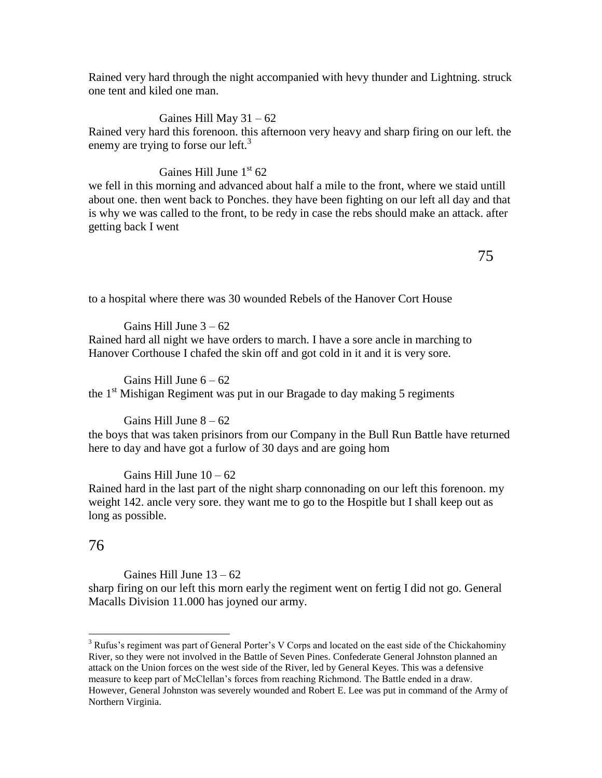Rained very hard through the night accompanied with hevy thunder and Lightning. struck one tent and kiled one man.

Gaines Hill May  $31 - 62$ Rained very hard this forenoon. this afternoon very heavy and sharp firing on our left. the enemy are trying to forse our left.<sup>3</sup>

# Gaines Hill June  $1<sup>st</sup> 62$

we fell in this morning and advanced about half a mile to the front, where we staid untill about one. then went back to Ponches. they have been fighting on our left all day and that is why we was called to the front, to be redy in case the rebs should make an attack. after getting back I went

to a hospital where there was 30 wounded Rebels of the Hanover Cort House

Gains Hill June  $3 - 62$ 

Rained hard all night we have orders to march. I have a sore ancle in marching to Hanover Corthouse I chafed the skin off and got cold in it and it is very sore.

Gains Hill June  $6 - 62$ the  $1<sup>st</sup> Mishigan Regiment was put in our Bragade to day making 5 regiments$ 

### Gains Hill June  $8 - 62$

the boys that was taken prisinors from our Company in the Bull Run Battle have returned here to day and have got a furlow of 30 days and are going hom

Gains Hill June  $10 - 62$ 

Rained hard in the last part of the night sharp connonading on our left this forenoon. my weight 142. ancle very sore. they want me to go to the Hospitle but I shall keep out as long as possible.

# 76

 $\overline{a}$ 

Gaines Hill June  $13 - 62$ sharp firing on our left this morn early the regiment went on fertig I did not go. General Macalls Division 11.000 has joyned our army.

 $3$  Rufus's regiment was part of General Porter's V Corps and located on the east side of the Chickahominy River, so they were not involved in the Battle of Seven Pines. Confederate General Johnston planned an attack on the Union forces on the west side of the River, led by General Keyes. This was a defensive measure to keep part of McClellan's forces from reaching Richmond. The Battle ended in a draw. However, General Johnston was severely wounded and Robert E. Lee was put in command of the Army of Northern Virginia.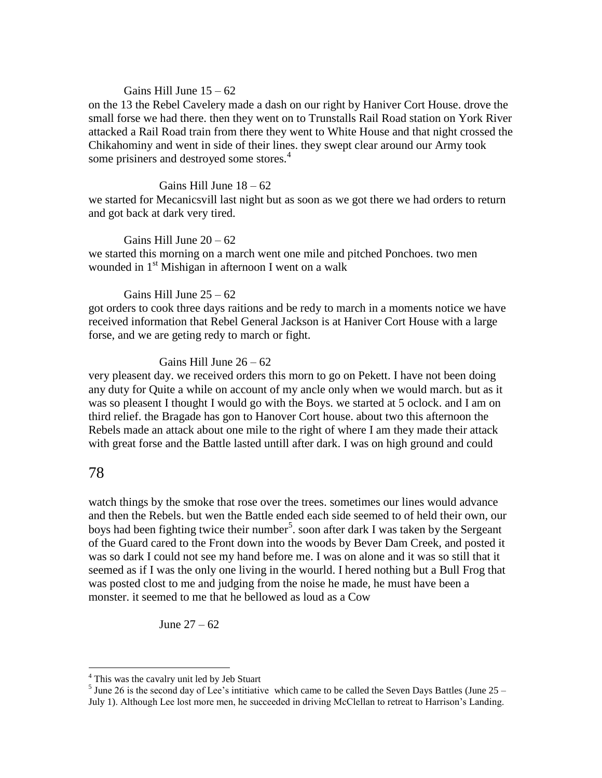### Gains Hill June  $15 - 62$

on the 13 the Rebel Cavelery made a dash on our right by Haniver Cort House. drove the small forse we had there. then they went on to Trunstalls Rail Road station on York River attacked a Rail Road train from there they went to White House and that night crossed the Chikahominy and went in side of their lines. they swept clear around our Army took some prisiners and destroyed some stores.<sup>4</sup>

#### Gains Hill June  $18 - 62$

we started for Mecanicsvill last night but as soon as we got there we had orders to return and got back at dark very tired.

#### Gains Hill June  $20 - 62$

we started this morning on a march went one mile and pitched Ponchoes. two men wounded in  $1<sup>st</sup>$  Mishigan in afternoon I went on a walk

#### Gains Hill June  $25 - 62$

got orders to cook three days raitions and be redy to march in a moments notice we have received information that Rebel General Jackson is at Haniver Cort House with a large forse, and we are geting redy to march or fight.

## Gains Hill June 26 – 62

very pleasent day. we received orders this morn to go on Pekett. I have not been doing any duty for Quite a while on account of my ancle only when we would march. but as it was so pleasent I thought I would go with the Boys. we started at 5 oclock. and I am on third relief. the Bragade has gon to Hanover Cort house. about two this afternoon the Rebels made an attack about one mile to the right of where I am they made their attack with great forse and the Battle lasted untill after dark. I was on high ground and could

# 78

 $\overline{a}$ 

watch things by the smoke that rose over the trees. sometimes our lines would advance and then the Rebels. but wen the Battle ended each side seemed to of held their own, our boys had been fighting twice their number<sup>5</sup>. soon after dark I was taken by the Sergeant of the Guard cared to the Front down into the woods by Bever Dam Creek, and posted it was so dark I could not see my hand before me. I was on alone and it was so still that it seemed as if I was the only one living in the wourld. I hered nothing but a Bull Frog that was posted clost to me and judging from the noise he made, he must have been a monster. it seemed to me that he bellowed as loud as a Cow

June 27 – 62

<sup>&</sup>lt;sup>4</sup> This was the cavalry unit led by Jeb Stuart

 $<sup>5</sup>$  June 26 is the second day of Lee's intitiative which came to be called the Seven Days Battles (June 25 –</sup> July 1). Although Lee lost more men, he succeeded in driving McClellan to retreat to Harrison's Landing.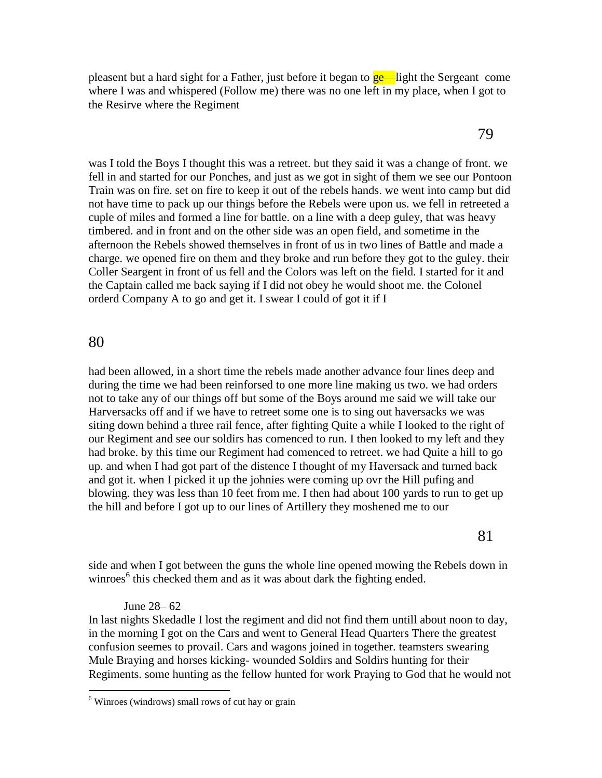pleasent but a hard sight for a Father, just before it began to **ge—**light the Sergeant come where I was and whispered (Follow me) there was no one left in my place, when I got to the Resirve where the Regiment

was I told the Boys I thought this was a retreet. but they said it was a change of front. we fell in and started for our Ponches, and just as we got in sight of them we see our Pontoon Train was on fire. set on fire to keep it out of the rebels hands. we went into camp but did not have time to pack up our things before the Rebels were upon us. we fell in retreeted a cuple of miles and formed a line for battle. on a line with a deep guley, that was heavy timbered. and in front and on the other side was an open field, and sometime in the afternoon the Rebels showed themselves in front of us in two lines of Battle and made a charge. we opened fire on them and they broke and run before they got to the guley. their Coller Seargent in front of us fell and the Colors was left on the field. I started for it and the Captain called me back saying if I did not obey he would shoot me. the Colonel orderd Company A to go and get it. I swear I could of got it if I

# 80

 $\overline{a}$ 

had been allowed, in a short time the rebels made another advance four lines deep and during the time we had been reinforsed to one more line making us two. we had orders not to take any of our things off but some of the Boys around me said we will take our Harversacks off and if we have to retreet some one is to sing out haversacks we was siting down behind a three rail fence, after fighting Quite a while I looked to the right of our Regiment and see our soldirs has comenced to run. I then looked to my left and they had broke. by this time our Regiment had comenced to retreet. we had Quite a hill to go up. and when I had got part of the distence I thought of my Haversack and turned back and got it. when I picked it up the johnies were coming up ovr the Hill pufing and blowing. they was less than 10 feet from me. I then had about 100 yards to run to get up the hill and before I got up to our lines of Artillery they moshened me to our

side and when I got between the guns the whole line opened mowing the Rebels down in winroes<sup>6</sup> this checked them and as it was about dark the fighting ended.

#### June 28– 62

In last nights Skedadle I lost the regiment and did not find them untill about noon to day, in the morning I got on the Cars and went to General Head Quarters There the greatest confusion seemes to provail. Cars and wagons joined in together. teamsters swearing Mule Braying and horses kicking- wounded Soldirs and Soldirs hunting for their Regiments. some hunting as the fellow hunted for work Praying to God that he would not

 $6$  Winroes (windrows) small rows of cut hay or grain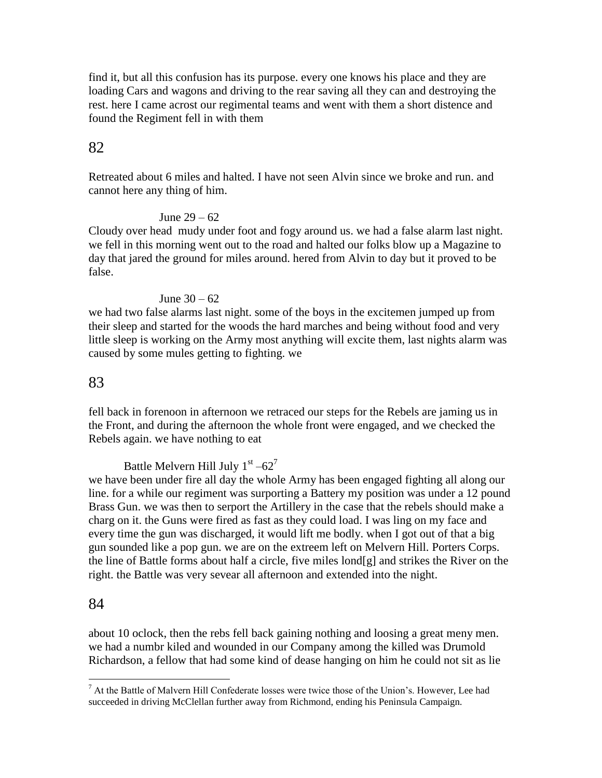find it, but all this confusion has its purpose. every one knows his place and they are loading Cars and wagons and driving to the rear saving all they can and destroying the rest. here I came acrost our regimental teams and went with them a short distence and found the Regiment fell in with them

# 82

Retreated about 6 miles and halted. I have not seen Alvin since we broke and run. and cannot here any thing of him.

# June 29 – 62

Cloudy over head mudy under foot and fogy around us. we had a false alarm last night. we fell in this morning went out to the road and halted our folks blow up a Magazine to day that jared the ground for miles around. hered from Alvin to day but it proved to be false.

# June 30 – 62

we had two false alarms last night. some of the boys in the excitemen jumped up from their sleep and started for the woods the hard marches and being without food and very little sleep is working on the Army most anything will excite them, last nights alarm was caused by some mules getting to fighting. we

# 83

fell back in forenoon in afternoon we retraced our steps for the Rebels are jaming us in the Front, and during the afternoon the whole front were engaged, and we checked the Rebels again. we have nothing to eat

Battle Melvern Hill July  $1^{\text{st}} -62^7$ 

we have been under fire all day the whole Army has been engaged fighting all along our line. for a while our regiment was surporting a Battery my position was under a 12 pound Brass Gun. we was then to serport the Artillery in the case that the rebels should make a charg on it. the Guns were fired as fast as they could load. I was ling on my face and every time the gun was discharged, it would lift me bodly. when I got out of that a big gun sounded like a pop gun. we are on the extreem left on Melvern Hill. Porters Corps. the line of Battle forms about half a circle, five miles lond[g] and strikes the River on the right. the Battle was very sevear all afternoon and extended into the night.

# 84

 $\overline{a}$ 

about 10 oclock, then the rebs fell back gaining nothing and loosing a great meny men. we had a numbr kiled and wounded in our Company among the killed was Drumold Richardson, a fellow that had some kind of dease hanging on him he could not sit as lie

<sup>7</sup> At the Battle of Malvern Hill Confederate losses were twice those of the Union's. However, Lee had succeeded in driving McClellan further away from Richmond, ending his Peninsula Campaign.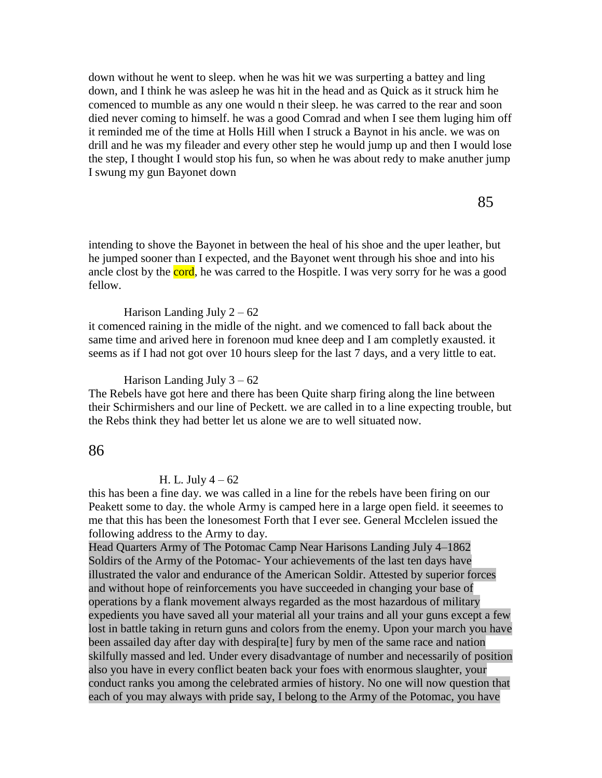down without he went to sleep. when he was hit we was surperting a battey and ling down, and I think he was asleep he was hit in the head and as Quick as it struck him he comenced to mumble as any one would n their sleep. he was carred to the rear and soon died never coming to himself. he was a good Comrad and when I see them luging him off it reminded me of the time at Holls Hill when I struck a Baynot in his ancle. we was on drill and he was my fileader and every other step he would jump up and then I would lose the step, I thought I would stop his fun, so when he was about redy to make anuther jump I swung my gun Bayonet down

intending to shove the Bayonet in between the heal of his shoe and the uper leather, but he jumped sooner than I expected, and the Bayonet went through his shoe and into his ancle clost by the cord, he was carred to the Hospitle. I was very sorry for he was a good fellow.

Harison Landing July  $2 - 62$ 

it comenced raining in the midle of the night. and we comenced to fall back about the same time and arived here in forenoon mud knee deep and I am completly exausted. it seems as if I had not got over 10 hours sleep for the last 7 days, and a very little to eat.

Harison Landing July  $3 - 62$ 

The Rebels have got here and there has been Quite sharp firing along the line between their Schirmishers and our line of Peckett. we are called in to a line expecting trouble, but the Rebs think they had better let us alone we are to well situated now.

# 86

#### H. L. July  $4 - 62$

this has been a fine day. we was called in a line for the rebels have been firing on our Peakett some to day. the whole Army is camped here in a large open field. it seeemes to me that this has been the lonesomest Forth that I ever see. General Mcclelen issued the following address to the Army to day.

Head Quarters Army of The Potomac Camp Near Harisons Landing July 4–1862 Soldirs of the Army of the Potomac- Your achievements of the last ten days have illustrated the valor and endurance of the American Soldir. Attested by superior forces and without hope of reinforcements you have succeeded in changing your base of operations by a flank movement always regarded as the most hazardous of military expedients you have saved all your material all your trains and all your guns except a few lost in battle taking in return guns and colors from the enemy. Upon your march you have been assailed day after day with despira[te] fury by men of the same race and nation skilfully massed and led. Under every disadvantage of number and necessarily of position also you have in every conflict beaten back your foes with enormous slaughter, your conduct ranks you among the celebrated armies of history. No one will now question that each of you may always with pride say, I belong to the Army of the Potomac, you have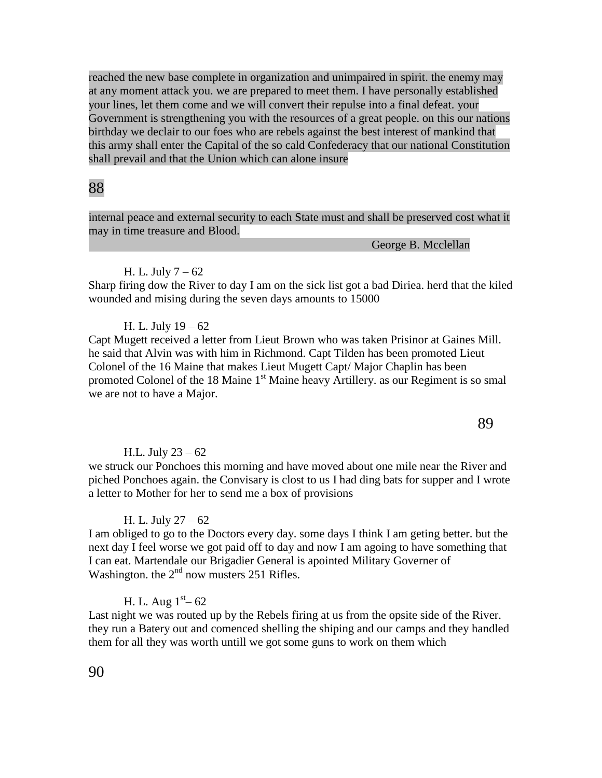reached the new base complete in organization and unimpaired in spirit. the enemy may at any moment attack you. we are prepared to meet them. I have personally established your lines, let them come and we will convert their repulse into a final defeat. your Government is strengthening you with the resources of a great people. on this our nations birthday we declair to our foes who are rebels against the best interest of mankind that this army shall enter the Capital of the so cald Confederacy that our national Constitution shall prevail and that the Union which can alone insure

# 88

internal peace and external security to each State must and shall be preserved cost what it may in time treasure and Blood.

George B. Mcclellan

89

#### H. L. July 7 – 62

Sharp firing dow the River to day I am on the sick list got a bad Diriea. herd that the kiled wounded and mising during the seven days amounts to 15000

# H. L. July 19 – 62

Capt Mugett received a letter from Lieut Brown who was taken Prisinor at Gaines Mill. he said that Alvin was with him in Richmond. Capt Tilden has been promoted Lieut Colonel of the 16 Maine that makes Lieut Mugett Capt/ Major Chaplin has been promoted Colonel of the 18 Maine 1<sup>st</sup> Maine heavy Artillery. as our Regiment is so smal we are not to have a Major.

#### H.L. July  $23 - 62$

we struck our Ponchoes this morning and have moved about one mile near the River and piched Ponchoes again. the Convisary is clost to us I had ding bats for supper and I wrote a letter to Mother for her to send me a box of provisions

#### H. L. July 27 – 62

I am obliged to go to the Doctors every day. some days I think I am geting better. but the next day I feel worse we got paid off to day and now I am agoing to have something that I can eat. Martendale our Brigadier General is apointed Military Governer of Washington. the  $2^{nd}$  now musters 251 Rifles.

# H. L. Aug  $1<sup>st</sup> - 62$

Last night we was routed up by the Rebels firing at us from the opsite side of the River. they run a Batery out and comenced shelling the shiping and our camps and they handled them for all they was worth untill we got some guns to work on them which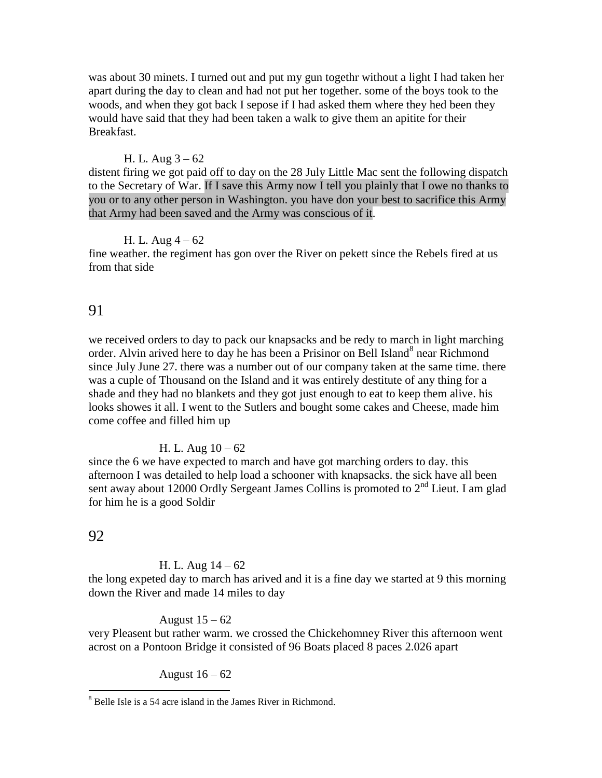was about 30 minets. I turned out and put my gun togethr without a light I had taken her apart during the day to clean and had not put her together. some of the boys took to the woods, and when they got back I sepose if I had asked them where they hed been they would have said that they had been taken a walk to give them an apitite for their Breakfast.

#### H. L. Aug  $3 - 62$

distent firing we got paid off to day on the 28 July Little Mac sent the following dispatch to the Secretary of War. If I save this Army now I tell you plainly that I owe no thanks to you or to any other person in Washington. you have don your best to sacrifice this Army that Army had been saved and the Army was conscious of it.

#### H. L. Aug  $4 - 62$

fine weather. the regiment has gon over the River on pekett since the Rebels fired at us from that side

## 91

we received orders to day to pack our knapsacks and be redy to march in light marching order. Alvin arived here to day he has been a Prisinor on Bell Island<sup>8</sup> near Richmond since July June 27. there was a number out of our company taken at the same time. there was a cuple of Thousand on the Island and it was entirely destitute of any thing for a shade and they had no blankets and they got just enough to eat to keep them alive. his looks showes it all. I went to the Sutlers and bought some cakes and Cheese, made him come coffee and filled him up

#### H. L. Aug  $10 - 62$

since the 6 we have expected to march and have got marching orders to day. this afternoon I was detailed to help load a schooner with knapsacks. the sick have all been sent away about 12000 Ordly Sergeant James Collins is promoted to 2<sup>nd</sup> Lieut. I am glad for him he is a good Soldir

### 92

 $\overline{a}$ 

#### H. L. Aug  $14 - 62$

the long expeted day to march has arived and it is a fine day we started at 9 this morning down the River and made 14 miles to day

#### August  $15 - 62$

very Pleasent but rather warm. we crossed the Chickehomney River this afternoon went acrost on a Pontoon Bridge it consisted of 96 Boats placed 8 paces 2.026 apart

August  $16 - 62$ 

 $8$  Belle Isle is a 54 acre island in the James River in Richmond.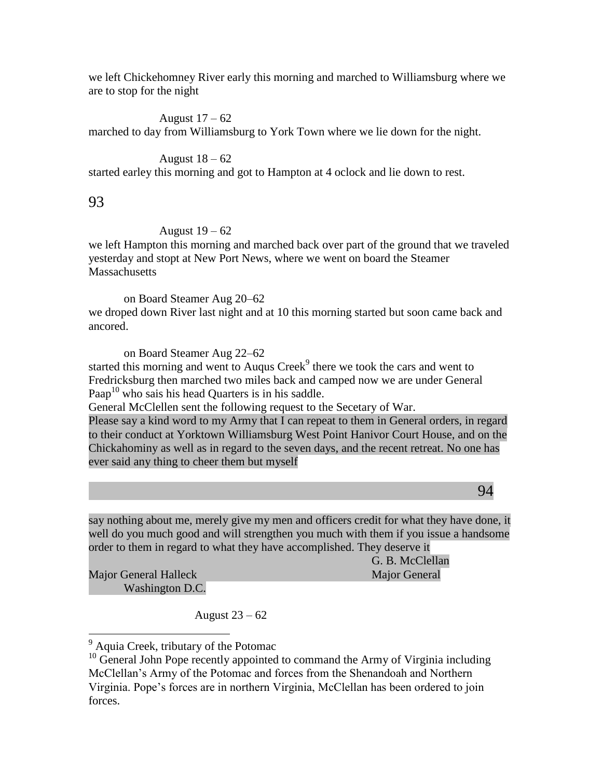we left Chickehomney River early this morning and marched to Williamsburg where we are to stop for the night

August  $17 - 62$ marched to day from Williamsburg to York Town where we lie down for the night.

# August  $18 - 62$

started earley this morning and got to Hampton at 4 oclock and lie down to rest.

93

# August 19 – 62

we left Hampton this morning and marched back over part of the ground that we traveled yesterday and stopt at New Port News, where we went on board the Steamer **Massachusetts** 

on Board Steamer Aug 20–62

we droped down River last night and at 10 this morning started but soon came back and ancored.

on Board Steamer Aug 22–62

started this morning and went to Auqus Creek $<sup>9</sup>$  there we took the cars and went to</sup> Fredricksburg then marched two miles back and camped now we are under General Paap<sup>10</sup> who sais his head Quarters is in his saddle.

General McClellen sent the following request to the Secetary of War.

Please say a kind word to my Army that I can repeat to them in General orders, in regard to their conduct at Yorktown Williamsburg West Point Hanivor Court House, and on the Chickahominy as well as in regard to the seven days, and the recent retreat. No one has ever said any thing to cheer them but myself

94

say nothing about me, merely give my men and officers credit for what they have done, it well do you much good and will strengthen you much with them if you issue a handsome order to them in regard to what they have accomplished. They deserve it

Major General Halleck Major General Washington D.C.

 $\overline{a}$ 

G. B. McClellan

August 23 – 62

<sup>&</sup>lt;sup>9</sup> Aquia Creek, tributary of the Potomac

 $10$  General John Pope recently appointed to command the Army of Virginia including McClellan's Army of the Potomac and forces from the Shenandoah and Northern Virginia. Pope's forces are in northern Virginia, McClellan has been ordered to join forces.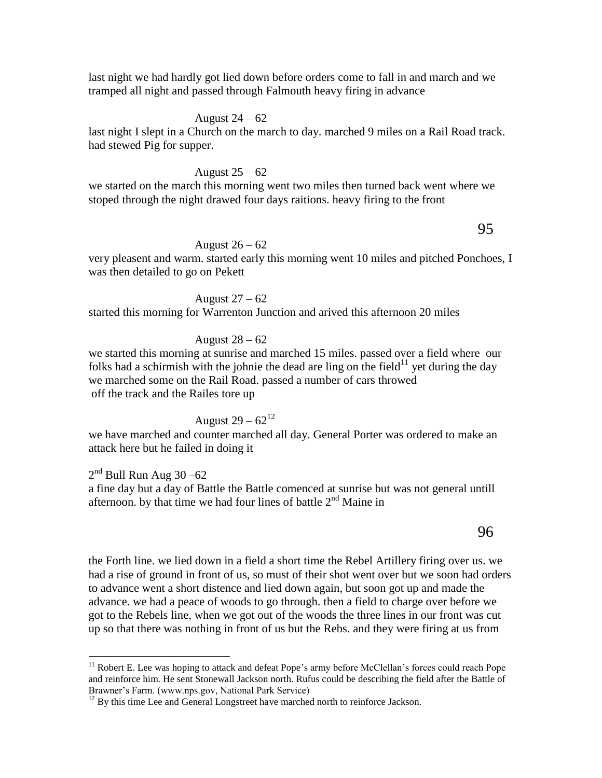last night we had hardly got lied down before orders come to fall in and march and we tramped all night and passed through Falmouth heavy firing in advance

#### August  $24 - 62$

last night I slept in a Church on the march to day. marched 9 miles on a Rail Road track. had stewed Pig for supper.

#### August 25 – 62

we started on the march this morning went two miles then turned back went where we stoped through the night drawed four days raitions. heavy firing to the front

# 95

### August 26 – 62

very pleasent and warm. started early this morning went 10 miles and pitched Ponchoes, I was then detailed to go on Pekett

August 27 – 62 started this morning for Warrenton Junction and arived this afternoon 20 miles

#### August 28 – 62

we started this morning at sunrise and marched 15 miles. passed over a field where our folks had a schirmish with the johnie the dead are ling on the field<sup>11</sup> yet during the day we marched some on the Rail Road. passed a number of cars throwed off the track and the Railes tore up

# August 29 –  $62^{12}$

we have marched and counter marched all day. General Porter was ordered to make an attack here but he failed in doing it

 $2<sup>nd</sup>$  Bull Run Aug 30 –62 a fine day but a day of Battle the Battle comenced at sunrise but was not general untill afternoon. by that time we had four lines of battle  $2<sup>nd</sup>$  Maine in

# the Forth line. we lied down in a field a short time the Rebel Artillery firing over us. we had a rise of ground in front of us, so must of their shot went over but we soon had orders to advance went a short distence and lied down again, but soon got up and made the advance. we had a peace of woods to go through. then a field to charge over before we got to the Rebels line, when we got out of the woods the three lines in our front was cut up so that there was nothing in front of us but the Rebs. and they were firing at us from

 $\overline{a}$ 

<sup>&</sup>lt;sup>11</sup> Robert E. Lee was hoping to attack and defeat Pope's army before McClellan's forces could reach Pope and reinforce him. He sent Stonewall Jackson north. Rufus could be describing the field after the Battle of Brawner's Farm. (www.nps.gov, National Park Service)

 $12$  By this time Lee and General Longstreet have marched north to reinforce Jackson.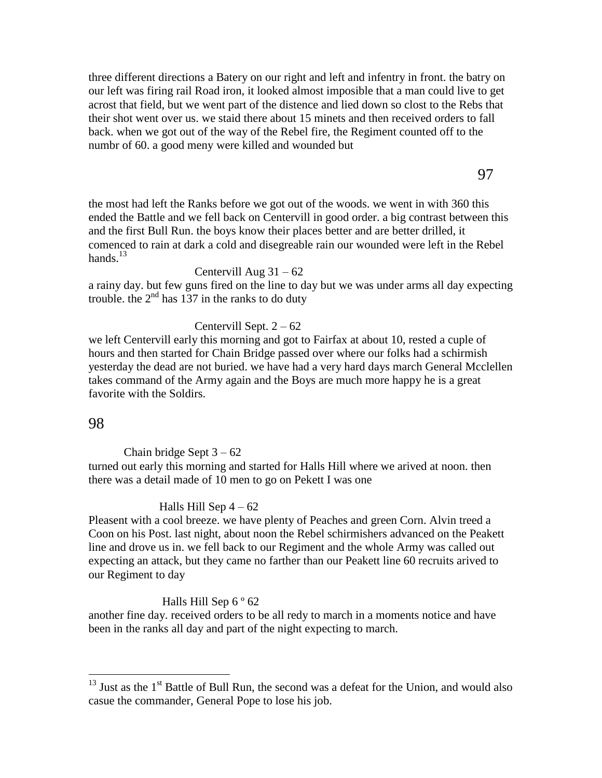three different directions a Batery on our right and left and infentry in front. the batry on our left was firing rail Road iron, it looked almost imposible that a man could live to get acrost that field, but we went part of the distence and lied down so clost to the Rebs that their shot went over us. we staid there about 15 minets and then received orders to fall back. when we got out of the way of the Rebel fire, the Regiment counted off to the numbr of 60. a good meny were killed and wounded but

97

the most had left the Ranks before we got out of the woods. we went in with 360 this ended the Battle and we fell back on Centervill in good order. a big contrast between this and the first Bull Run. the boys know their places better and are better drilled, it comenced to rain at dark a cold and disegreable rain our wounded were left in the Rebel hands. $13$ 

#### Centervill Aug  $31 - 62$

a rainy day. but few guns fired on the line to day but we was under arms all day expecting trouble. the  $2<sup>nd</sup>$  has 137 in the ranks to do duty

### Centervill Sept.  $2 - 62$

we left Centervill early this morning and got to Fairfax at about 10, rested a cuple of hours and then started for Chain Bridge passed over where our folks had a schirmish yesterday the dead are not buried. we have had a very hard days march General Mcclellen takes command of the Army again and the Boys are much more happy he is a great favorite with the Soldirs.

## 98

 $\overline{a}$ 

Chain bridge Sept  $3 - 62$ 

turned out early this morning and started for Halls Hill where we arived at noon. then there was a detail made of 10 men to go on Pekett I was one

#### Halls Hill Sep  $4 - 62$

Pleasent with a cool breeze. we have plenty of Peaches and green Corn. Alvin treed a Coon on his Post. last night, about noon the Rebel schirmishers advanced on the Peakett line and drove us in. we fell back to our Regiment and the whole Army was called out expecting an attack, but they came no farther than our Peakett line 60 recruits arived to our Regiment to day

### Halls Hill Sep  $6°62$

another fine day. received orders to be all redy to march in a moments notice and have been in the ranks all day and part of the night expecting to march.

 $13$  Just as the  $1<sup>st</sup>$  Battle of Bull Run, the second was a defeat for the Union, and would also casue the commander, General Pope to lose his job.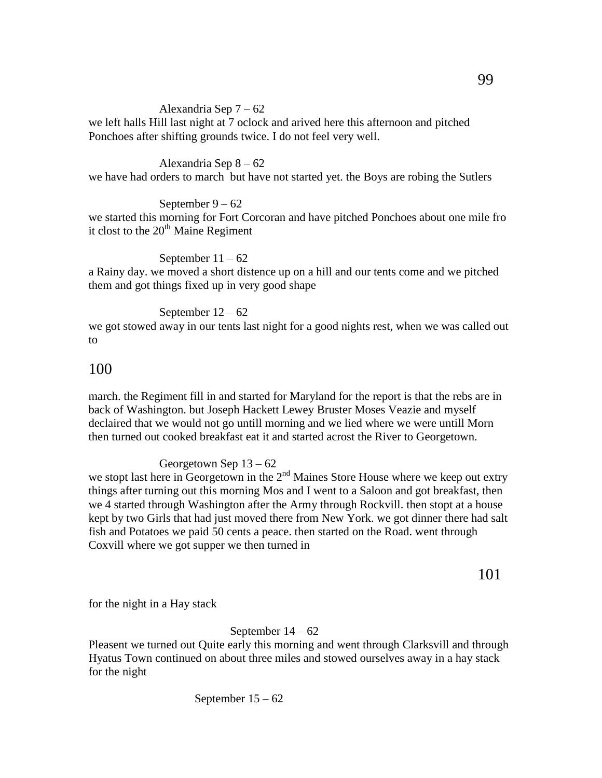### Alexandria Sep 7 – 62

we left halls Hill last night at 7 oclock and arived here this afternoon and pitched Ponchoes after shifting grounds twice. I do not feel very well.

#### Alexandria Sep 8 – 62

we have had orders to march but have not started yet. the Boys are robing the Sutlers

#### September 9 – 62

we started this morning for Fort Corcoran and have pitched Ponchoes about one mile fro it clost to the  $20<sup>th</sup>$  Maine Regiment

#### September  $11 - 62$

a Rainy day. we moved a short distence up on a hill and our tents come and we pitched them and got things fixed up in very good shape

#### September  $12 - 62$

we got stowed away in our tents last night for a good nights rest, when we was called out to

# 100

march. the Regiment fill in and started for Maryland for the report is that the rebs are in back of Washington. but Joseph Hackett Lewey Bruster Moses Veazie and myself declaired that we would not go untill morning and we lied where we were untill Morn then turned out cooked breakfast eat it and started acrost the River to Georgetown.

### Georgetown Sep 13 – 62

we stopt last here in Georgetown in the  $2<sup>nd</sup>$  Maines Store House where we keep out extry things after turning out this morning Mos and I went to a Saloon and got breakfast, then we 4 started through Washington after the Army through Rockvill. then stopt at a house kept by two Girls that had just moved there from New York. we got dinner there had salt fish and Potatoes we paid 50 cents a peace. then started on the Road. went through Coxvill where we got supper we then turned in

101

for the night in a Hay stack

#### September 14 – 62

Pleasent we turned out Quite early this morning and went through Clarksvill and through Hyatus Town continued on about three miles and stowed ourselves away in a hay stack for the night

September 15 – 62